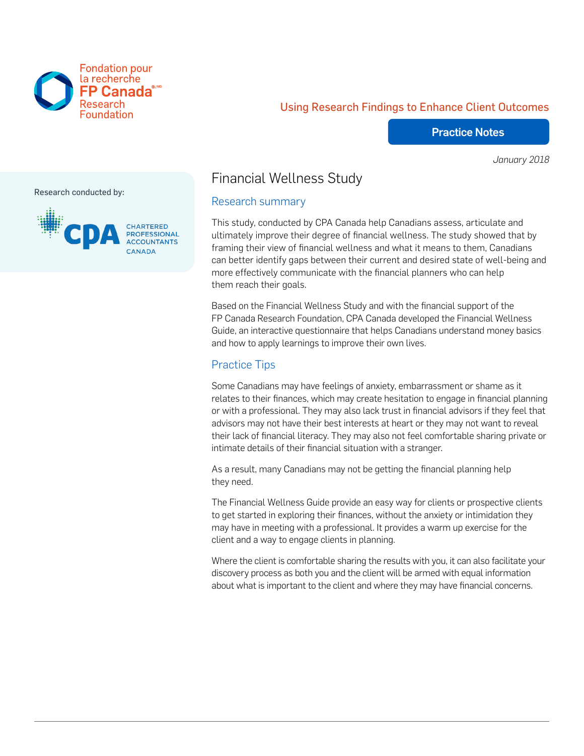

## Using Research Findings to Enhance Client Outcomes

#### Practice Notes

*January 2018*

Research conducted by:



# Financial Wellness Study

#### Research summary

This study, conducted by CPA Canada help Canadians assess, articulate and ultimately improve their degree of financial wellness. The study showed that by framing their view of financial wellness and what it means to them, Canadians can better identify gaps between their current and desired state of well-being and more effectively communicate with the financial planners who can help them reach their goals.

Based on the Financial Wellness Study and with the financial support of the FP Canada Research Foundation, CPA Canada developed the Financial Wellness Guide, an interactive questionnaire that helps Canadians understand money basics and how to apply learnings to improve their own lives.

## Practice Tips

Some Canadians may have feelings of anxiety, embarrassment or shame as it relates to their finances, which may create hesitation to engage in financial planning or with a professional. They may also lack trust in financial advisors if they feel that advisors may not have their best interests at heart or they may not want to reveal their lack of financial literacy. They may also not feel comfortable sharing private or intimate details of their financial situation with a stranger.

As a result, many Canadians may not be getting the financial planning help they need.

The Financial Wellness Guide provide an easy way for clients or prospective clients to get started in exploring their finances, without the anxiety or intimidation they may have in meeting with a professional. It provides a warm up exercise for the client and a way to engage clients in planning.

Where the client is comfortable sharing the results with you, it can also facilitate your discovery process as both you and the client will be armed with equal information about what is important to the client and where they may have financial concerns.